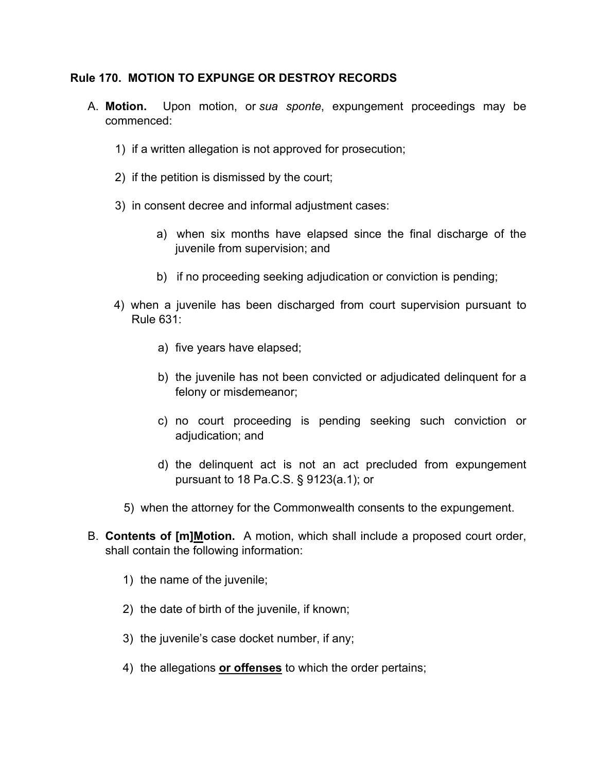### **Rule 170. MOTION TO EXPUNGE OR DESTROY RECORDS**

- A. **Motion.** Upon motion, or *sua sponte*, expungement proceedings may be commenced:
	- 1) if a written allegation is not approved for prosecution;
	- 2) if the petition is dismissed by the court;
	- 3) in consent decree and informal adjustment cases:
		- a) when six months have elapsed since the final discharge of the juvenile from supervision; and
		- b) if no proceeding seeking adjudication or conviction is pending;
	- 4) when a juvenile has been discharged from court supervision pursuant to Rule 631:
		- a) five years have elapsed;
		- b) the juvenile has not been convicted or adjudicated delinquent for a felony or misdemeanor;
		- c) no court proceeding is pending seeking such conviction or adjudication; and
		- d) the delinquent act is not an act precluded from expungement pursuant to 18 Pa.C.S. § 9123(a.1); or
		- 5) when the attorney for the Commonwealth consents to the expungement.
- B. **Contents of [m]Motion.** A motion, which shall include a proposed court order, shall contain the following information:
	- 1) the name of the juvenile;
	- 2) the date of birth of the juvenile, if known;
	- 3) the juvenile's case docket number, if any;
	- 4) the allegations **or offenses** to which the order pertains;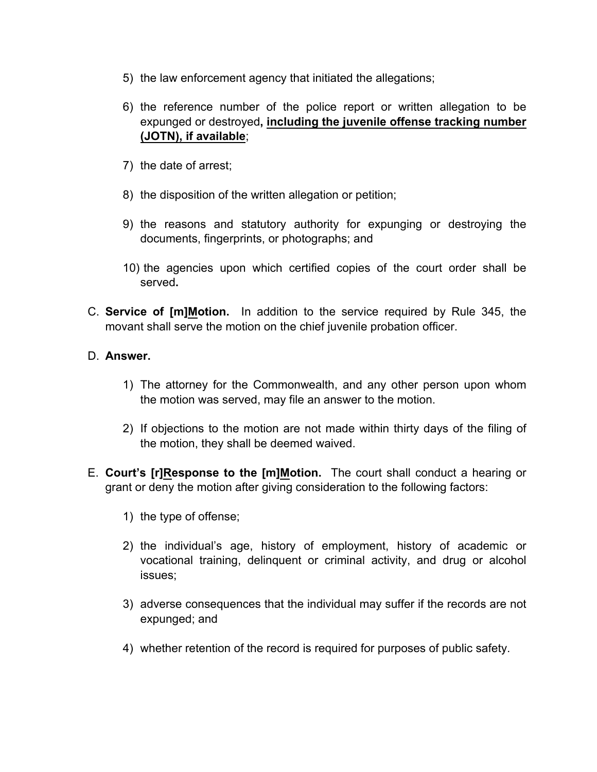- 5) the law enforcement agency that initiated the allegations;
- 6) the reference number of the police report or written allegation to be expunged or destroyed**, including the juvenile offense tracking number (JOTN), if available**;
- 7) the date of arrest;
- 8) the disposition of the written allegation or petition;
- 9) the reasons and statutory authority for expunging or destroying the documents, fingerprints, or photographs; and
- 10) the agencies upon which certified copies of the court order shall be served**.**
- C. **Service of [m]Motion.** In addition to the service required by Rule 345, the movant shall serve the motion on the chief juvenile probation officer.

## D. **Answer.**

- 1) The attorney for the Commonwealth, and any other person upon whom the motion was served, may file an answer to the motion.
- 2) If objections to the motion are not made within thirty days of the filing of the motion, they shall be deemed waived.
- E. **Court's [r]Response to the [m]Motion.** The court shall conduct a hearing or grant or deny the motion after giving consideration to the following factors:
	- 1) the type of offense;
	- 2) the individual's age, history of employment, history of academic or vocational training, delinquent or criminal activity, and drug or alcohol issues;
	- 3) adverse consequences that the individual may suffer if the records are not expunged; and
	- 4) whether retention of the record is required for purposes of public safety.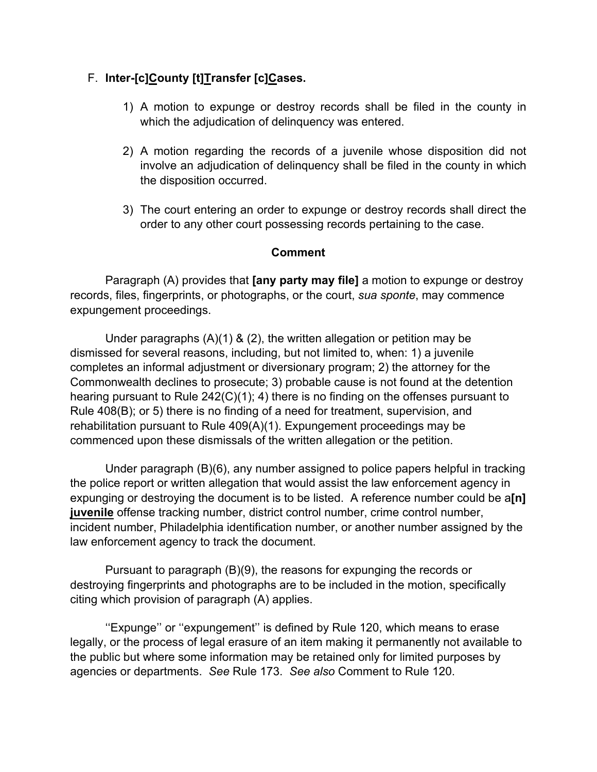# F. **Inter-[c]County [t]Transfer [c]Cases.**

- 1) A motion to expunge or destroy records shall be filed in the county in which the adjudication of delinquency was entered.
- 2) A motion regarding the records of a juvenile whose disposition did not involve an adjudication of delinquency shall be filed in the county in which the disposition occurred.
- 3) The court entering an order to expunge or destroy records shall direct the order to any other court possessing records pertaining to the case.

## **Comment**

 Paragraph (A) provides that **[any party may file]** a motion to expunge or destroy records, files, fingerprints, or photographs, or the court, *sua sponte*, may commence expungement proceedings.

 Under paragraphs (A)(1) & (2), the written allegation or petition may be dismissed for several reasons, including, but not limited to, when: 1) a juvenile completes an informal adjustment or diversionary program; 2) the attorney for the Commonwealth declines to prosecute; 3) probable cause is not found at the detention hearing pursuant to Rule 242(C)(1); 4) there is no finding on the offenses pursuant to Rule 408(B); or 5) there is no finding of a need for treatment, supervision, and rehabilitation pursuant to Rule 409(A)(1). Expungement proceedings may be commenced upon these dismissals of the written allegation or the petition.

 Under paragraph (B)(6), any number assigned to police papers helpful in tracking the police report or written allegation that would assist the law enforcement agency in expunging or destroying the document is to be listed. A reference number could be a**[n] juvenile** offense tracking number, district control number, crime control number, incident number, Philadelphia identification number, or another number assigned by the law enforcement agency to track the document.

 Pursuant to paragraph (B)(9), the reasons for expunging the records or destroying fingerprints and photographs are to be included in the motion, specifically citing which provision of paragraph (A) applies.

 ''Expunge'' or ''expungement'' is defined by Rule 120, which means to erase legally, or the process of legal erasure of an item making it permanently not available to the public but where some information may be retained only for limited purposes by agencies or departments. *See* Rule 173. *See also* Comment to Rule 120.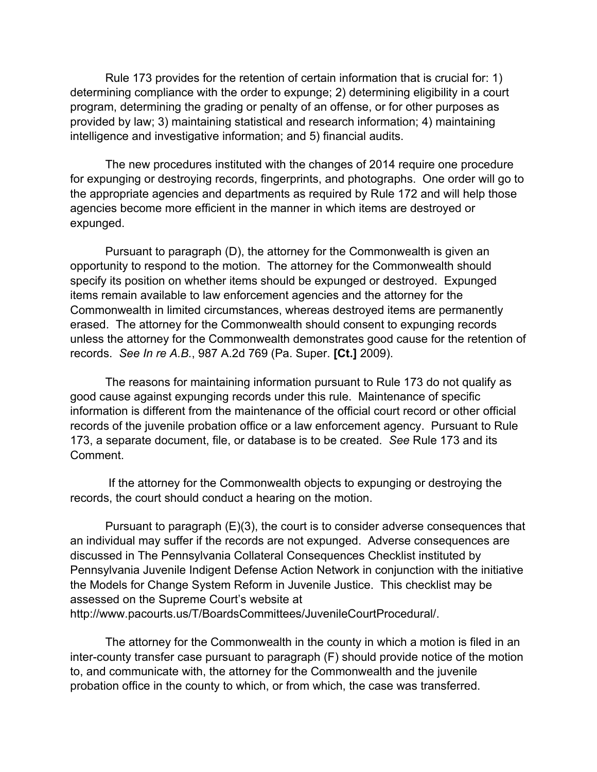Rule 173 provides for the retention of certain information that is crucial for: 1) determining compliance with the order to expunge; 2) determining eligibility in a court program, determining the grading or penalty of an offense, or for other purposes as provided by law; 3) maintaining statistical and research information; 4) maintaining intelligence and investigative information; and 5) financial audits.

 The new procedures instituted with the changes of 2014 require one procedure for expunging or destroying records, fingerprints, and photographs. One order will go to the appropriate agencies and departments as required by Rule 172 and will help those agencies become more efficient in the manner in which items are destroyed or expunged.

 Pursuant to paragraph (D), the attorney for the Commonwealth is given an opportunity to respond to the motion. The attorney for the Commonwealth should specify its position on whether items should be expunged or destroyed. Expunged items remain available to law enforcement agencies and the attorney for the Commonwealth in limited circumstances, whereas destroyed items are permanently erased. The attorney for the Commonwealth should consent to expunging records unless the attorney for the Commonwealth demonstrates good cause for the retention of records. *See In re A.B.*, 987 A.2d 769 (Pa. Super. **[Ct.]** 2009).

 The reasons for maintaining information pursuant to Rule 173 do not qualify as good cause against expunging records under this rule. Maintenance of specific information is different from the maintenance of the official court record or other official records of the juvenile probation office or a law enforcement agency. Pursuant to Rule 173, a separate document, file, or database is to be created. *See* Rule 173 and its Comment.

 If the attorney for the Commonwealth objects to expunging or destroying the records, the court should conduct a hearing on the motion.

 Pursuant to paragraph (E)(3), the court is to consider adverse consequences that an individual may suffer if the records are not expunged. Adverse consequences are discussed in The Pennsylvania Collateral Consequences Checklist instituted by Pennsylvania Juvenile Indigent Defense Action Network in conjunction with the initiative the Models for Change System Reform in Juvenile Justice. This checklist may be assessed on the Supreme Court's website at http://www.pacourts.us/T/BoardsCommittees/JuvenileCourtProcedural/.

 The attorney for the Commonwealth in the county in which a motion is filed in an inter-county transfer case pursuant to paragraph (F) should provide notice of the motion to, and communicate with, the attorney for the Commonwealth and the juvenile probation office in the county to which, or from which, the case was transferred.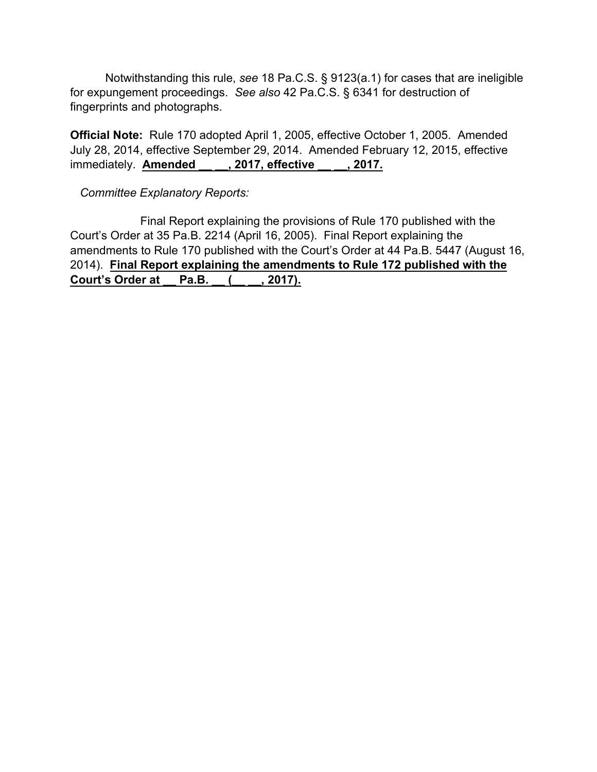Notwithstanding this rule, *see* 18 Pa.C.S. § 9123(a.1) for cases that are ineligible for expungement proceedings. *See also* 42 Pa.C.S. § 6341 for destruction of fingerprints and photographs.

**Official Note:** Rule 170 adopted April 1, 2005, effective October 1, 2005. Amended July 28, 2014, effective September 29, 2014. Amended February 12, 2015, effective immediately. **Amended \_\_ \_\_, 2017, effective \_\_ \_\_, 2017.**

*Committee Explanatory Reports:*

Final Report explaining the provisions of Rule 170 published with the Court's Order at 35 Pa.B. 2214 (April 16, 2005). Final Report explaining the amendments to Rule 170 published with the Court's Order at 44 Pa.B. 5447 (August 16, 2014). **Final Report explaining the amendments to Rule 172 published with the Court's Order at \_\_ Pa.B. \_\_ (\_\_ \_\_, 2017).**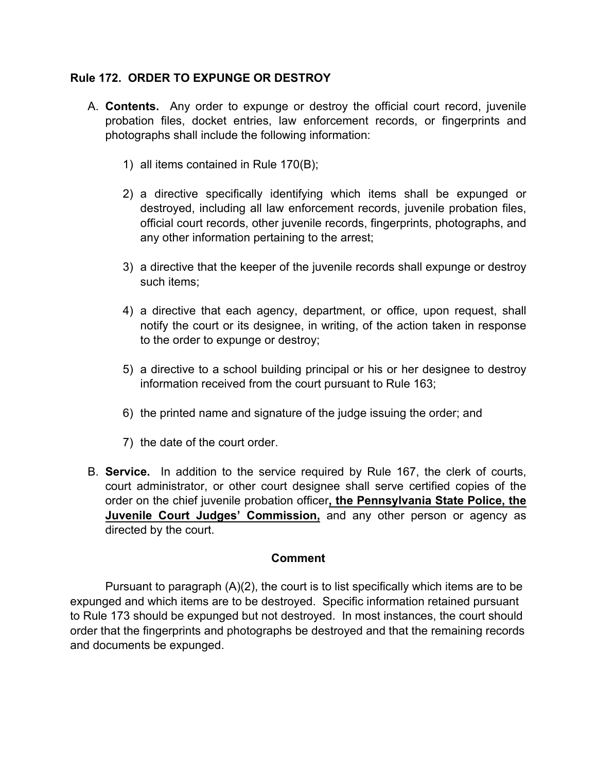## **Rule 172. ORDER TO EXPUNGE OR DESTROY**

- A. **Contents.** Any order to expunge or destroy the official court record, juvenile probation files, docket entries, law enforcement records, or fingerprints and photographs shall include the following information:
	- 1) all items contained in Rule 170(B);
	- 2) a directive specifically identifying which items shall be expunged or destroyed, including all law enforcement records, juvenile probation files, official court records, other juvenile records, fingerprints, photographs, and any other information pertaining to the arrest;
	- 3) a directive that the keeper of the juvenile records shall expunge or destroy such items;
	- 4) a directive that each agency, department, or office, upon request, shall notify the court or its designee, in writing, of the action taken in response to the order to expunge or destroy;
	- 5) a directive to a school building principal or his or her designee to destroy information received from the court pursuant to Rule 163;
	- 6) the printed name and signature of the judge issuing the order; and
	- 7) the date of the court order.
- B. **Service.** In addition to the service required by Rule 167, the clerk of courts, court administrator, or other court designee shall serve certified copies of the order on the chief juvenile probation officer**, the Pennsylvania State Police, the Juvenile Court Judges' Commission,** and any other person or agency as directed by the court.

### **Comment**

 Pursuant to paragraph (A)(2), the court is to list specifically which items are to be expunged and which items are to be destroyed. Specific information retained pursuant to Rule 173 should be expunged but not destroyed. In most instances, the court should order that the fingerprints and photographs be destroyed and that the remaining records and documents be expunged.